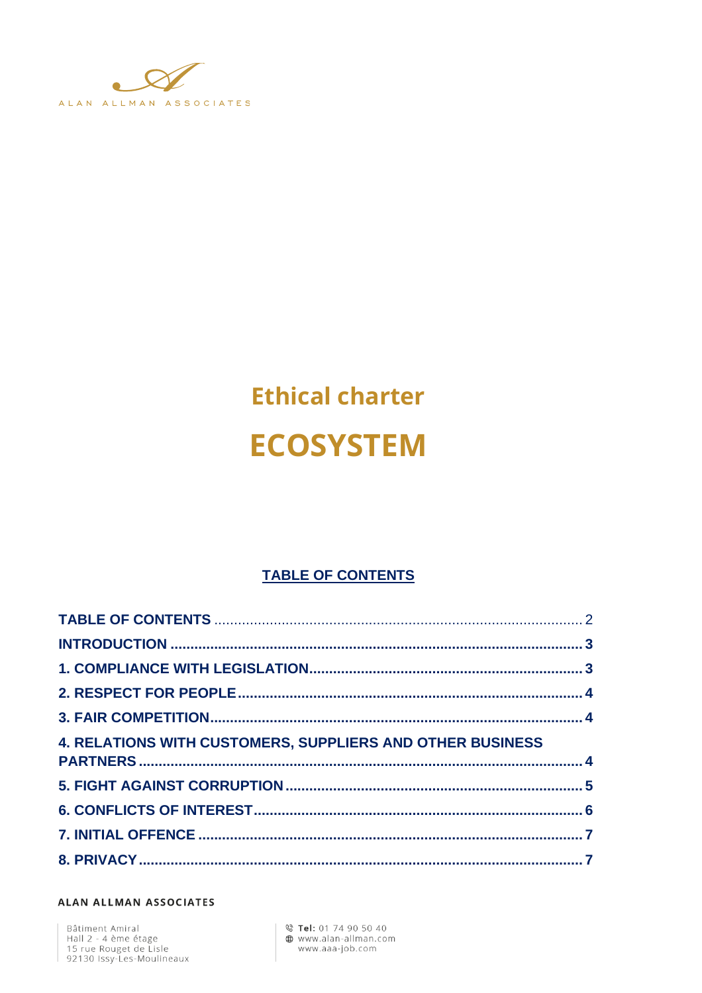

# **Ethical charter ECOSYSTEM**

#### **TABLE OF CONTENTS**

| <b>4. RELATIONS WITH CUSTOMERS, SUPPLIERS AND OTHER BUSINESS</b> |  |
|------------------------------------------------------------------|--|
|                                                                  |  |
|                                                                  |  |
|                                                                  |  |
|                                                                  |  |

#### ALAN ALLMAN ASSOCIATES

Bâtiment Amiral<br>Hall 2 - 4 ème étage<br>15 rue Rouget de Lisle<br>92130 Issy-Les-Moulineaux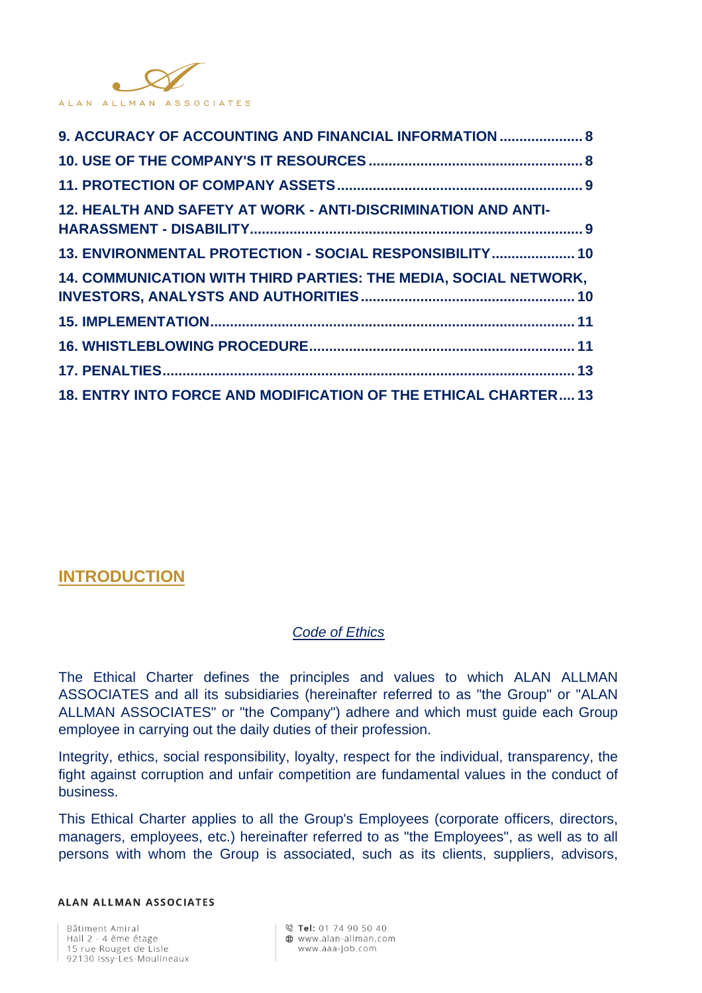

| 9. ACCURACY OF ACCOUNTING AND FINANCIAL INFORMATION  8           |  |
|------------------------------------------------------------------|--|
|                                                                  |  |
|                                                                  |  |
| 12. HEALTH AND SAFETY AT WORK - ANTI-DISCRIMINATION AND ANTI-    |  |
| 13. ENVIRONMENTAL PROTECTION - SOCIAL RESPONSIBILITY 10          |  |
| 14. COMMUNICATION WITH THIRD PARTIES: THE MEDIA, SOCIAL NETWORK, |  |
|                                                                  |  |
|                                                                  |  |
|                                                                  |  |
| 18. ENTRY INTO FORCE AND MODIFICATION OF THE ETHICAL CHARTER 13  |  |

## **INTRODUCTION**

#### *Code of Ethics*

The Ethical Charter defines the principles and values to which ALAN ALLMAN ASSOCIATES and all its subsidiaries (hereinafter referred to as "the Group" or "ALAN ALLMAN ASSOCIATES" or "the Company") adhere and which must guide each Group employee in carrying out the daily duties of their profession.

Integrity, ethics, social responsibility, loyalty, respect for the individual, transparency, the fight against corruption and unfair competition are fundamental values in the conduct of business.

This Ethical Charter applies to all the Group's Employees (corporate officers, directors, managers, employees, etc.) hereinafter referred to as "the Employees", as well as to all persons with whom the Group is associated, such as its clients, suppliers, advisors,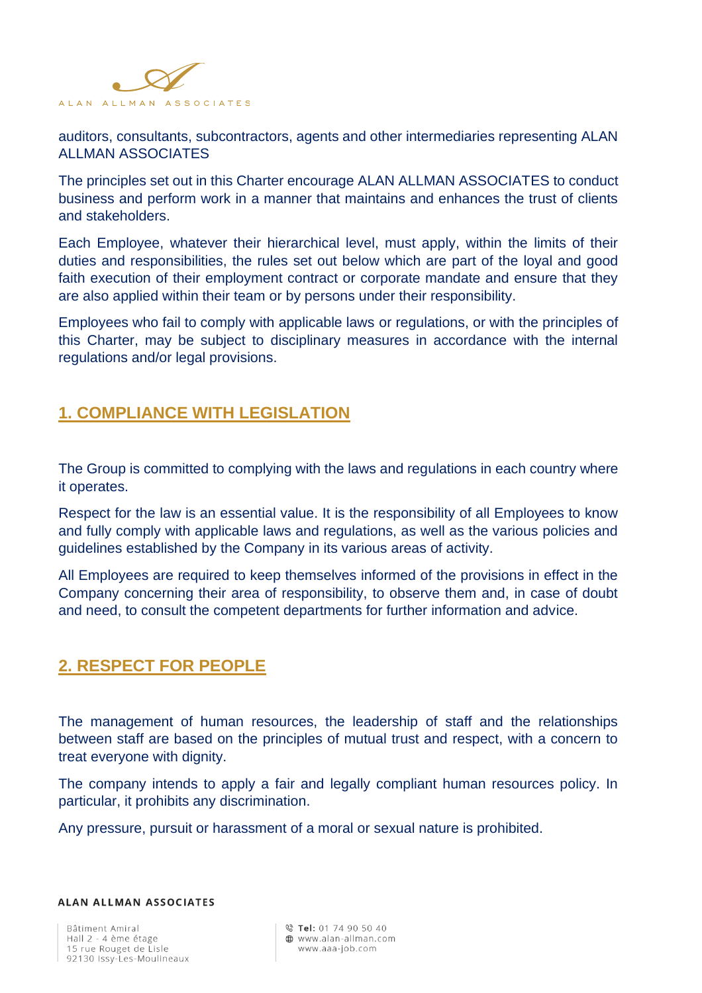

auditors, consultants, subcontractors, agents and other intermediaries representing ALAN ALLMAN ASSOCIATES

The principles set out in this Charter encourage ALAN ALLMAN ASSOCIATES to conduct business and perform work in a manner that maintains and enhances the trust of clients and stakeholders.

Each Employee, whatever their hierarchical level, must apply, within the limits of their duties and responsibilities, the rules set out below which are part of the loyal and good faith execution of their employment contract or corporate mandate and ensure that they are also applied within their team or by persons under their responsibility.

Employees who fail to comply with applicable laws or regulations, or with the principles of this Charter, may be subject to disciplinary measures in accordance with the internal regulations and/or legal provisions.

## **1. COMPLIANCE WITH LEGISLATION**

The Group is committed to complying with the laws and regulations in each country where it operates.

Respect for the law is an essential value. It is the responsibility of all Employees to know and fully comply with applicable laws and regulations, as well as the various policies and guidelines established by the Company in its various areas of activity.

All Employees are required to keep themselves informed of the provisions in effect in the Company concerning their area of responsibility, to observe them and, in case of doubt and need, to consult the competent departments for further information and advice.

# **2. RESPECT FOR PEOPLE**

The management of human resources, the leadership of staff and the relationships between staff are based on the principles of mutual trust and respect, with a concern to treat everyone with dignity.

The company intends to apply a fair and legally compliant human resources policy. In particular, it prohibits any discrimination.

Any pressure, pursuit or harassment of a moral or sexual nature is prohibited.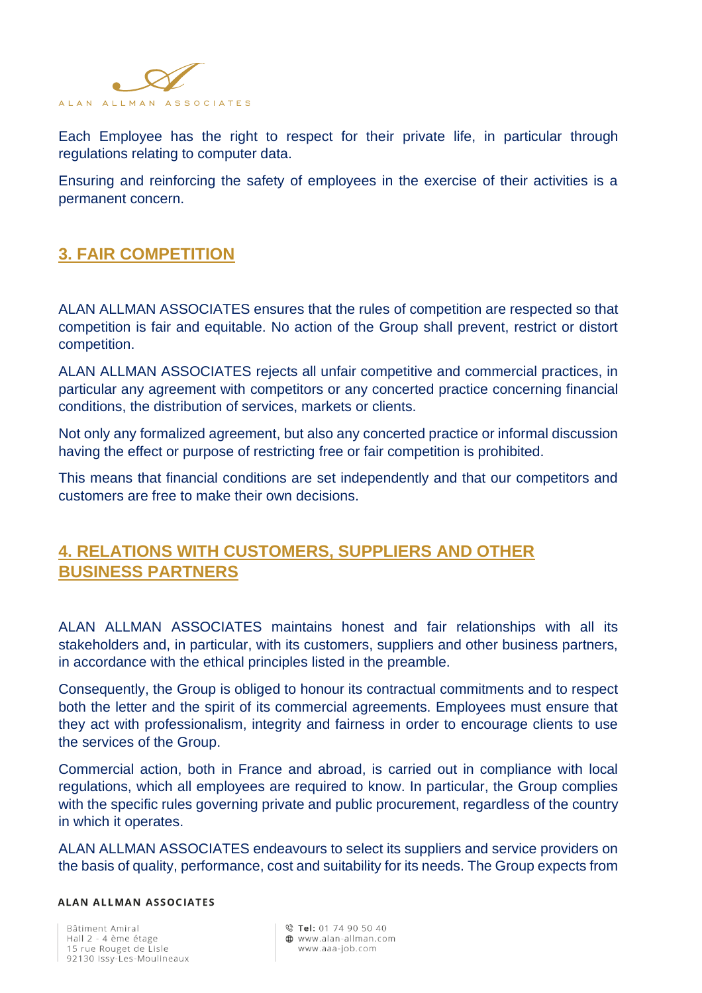

Each Employee has the right to respect for their private life, in particular through regulations relating to computer data.

Ensuring and reinforcing the safety of employees in the exercise of their activities is a permanent concern.

# **3. FAIR COMPETITION**

ALAN ALLMAN ASSOCIATES ensures that the rules of competition are respected so that competition is fair and equitable. No action of the Group shall prevent, restrict or distort competition.

ALAN ALLMAN ASSOCIATES rejects all unfair competitive and commercial practices, in particular any agreement with competitors or any concerted practice concerning financial conditions, the distribution of services, markets or clients.

Not only any formalized agreement, but also any concerted practice or informal discussion having the effect or purpose of restricting free or fair competition is prohibited.

This means that financial conditions are set independently and that our competitors and customers are free to make their own decisions.

# **4. RELATIONS WITH CUSTOMERS, SUPPLIERS AND OTHER BUSINESS PARTNERS**

ALAN ALLMAN ASSOCIATES maintains honest and fair relationships with all its stakeholders and, in particular, with its customers, suppliers and other business partners, in accordance with the ethical principles listed in the preamble.

Consequently, the Group is obliged to honour its contractual commitments and to respect both the letter and the spirit of its commercial agreements. Employees must ensure that they act with professionalism, integrity and fairness in order to encourage clients to use the services of the Group.

Commercial action, both in France and abroad, is carried out in compliance with local regulations, which all employees are required to know. In particular, the Group complies with the specific rules governing private and public procurement, regardless of the country in which it operates.

ALAN ALLMAN ASSOCIATES endeavours to select its suppliers and service providers on the basis of quality, performance, cost and suitability for its needs. The Group expects from

#### **ALAN ALLMAN ASSOCIATES**

Bâtiment Amiral Hall 2 - 4 ème étage 15 rue Rouget de Lisle 92130 Issy-Les-Moulineaux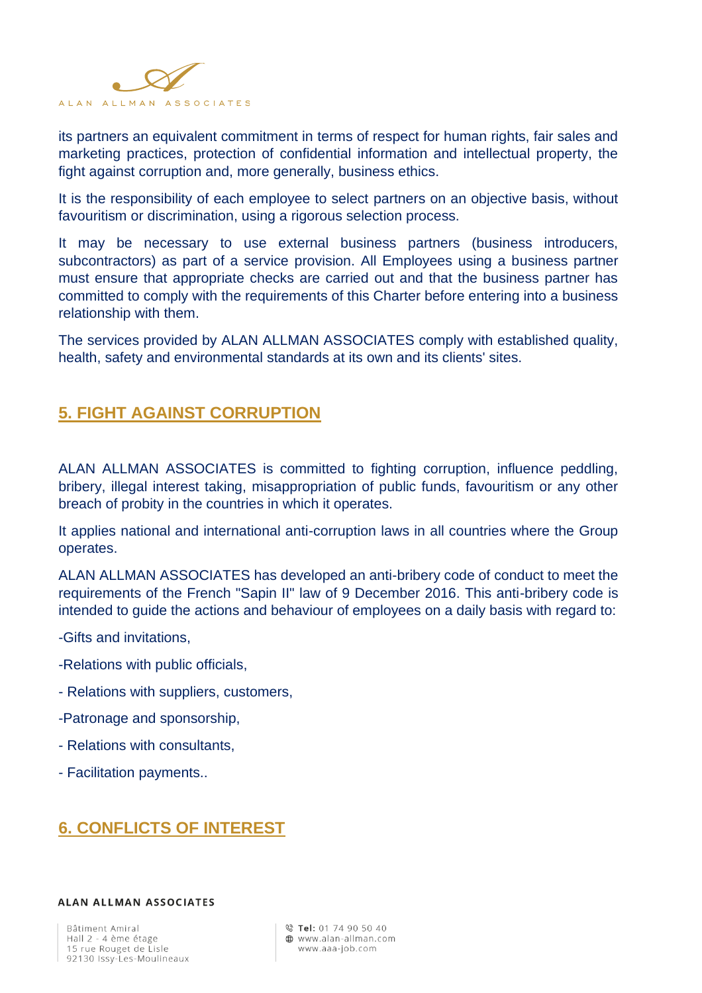

its partners an equivalent commitment in terms of respect for human rights, fair sales and marketing practices, protection of confidential information and intellectual property, the fight against corruption and, more generally, business ethics.

It is the responsibility of each employee to select partners on an objective basis, without favouritism or discrimination, using a rigorous selection process.

It may be necessary to use external business partners (business introducers, subcontractors) as part of a service provision. All Employees using a business partner must ensure that appropriate checks are carried out and that the business partner has committed to comply with the requirements of this Charter before entering into a business relationship with them.

The services provided by ALAN ALLMAN ASSOCIATES comply with established quality, health, safety and environmental standards at its own and its clients' sites.

# **5. FIGHT AGAINST CORRUPTION**

ALAN ALLMAN ASSOCIATES is committed to fighting corruption, influence peddling, bribery, illegal interest taking, misappropriation of public funds, favouritism or any other breach of probity in the countries in which it operates.

It applies national and international anti-corruption laws in all countries where the Group operates.

ALAN ALLMAN ASSOCIATES has developed an anti-bribery code of conduct to meet the requirements of the French "Sapin II" law of 9 December 2016. This anti-bribery code is intended to guide the actions and behaviour of employees on a daily basis with regard to:

-Gifts and invitations,

- -Relations with public officials,
- Relations with suppliers, customers,
- -Patronage and sponsorship,
- Relations with consultants,
- Facilitation payments..

# **6. CONFLICTS OF INTEREST**

#### **ALAN ALLMAN ASSOCIATES**

Bâtiment Amiral Hall 2 - 4 ème étage 15 rue Rouget de Lisle 92130 Issy-Les-Moulineaux

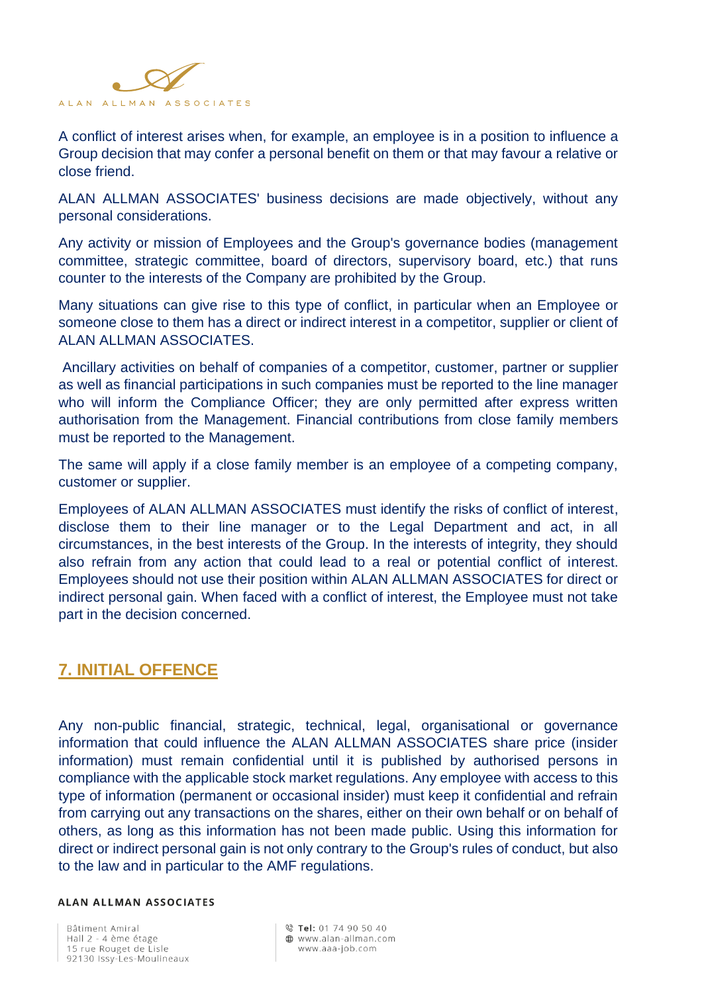

A conflict of interest arises when, for example, an employee is in a position to influence a Group decision that may confer a personal benefit on them or that may favour a relative or close friend.

ALAN ALLMAN ASSOCIATES' business decisions are made objectively, without any personal considerations.

Any activity or mission of Employees and the Group's governance bodies (management committee, strategic committee, board of directors, supervisory board, etc.) that runs counter to the interests of the Company are prohibited by the Group.

Many situations can give rise to this type of conflict, in particular when an Employee or someone close to them has a direct or indirect interest in a competitor, supplier or client of ALAN ALLMAN ASSOCIATES.

Ancillary activities on behalf of companies of a competitor, customer, partner or supplier as well as financial participations in such companies must be reported to the line manager who will inform the Compliance Officer; they are only permitted after express written authorisation from the Management. Financial contributions from close family members must be reported to the Management.

The same will apply if a close family member is an employee of a competing company, customer or supplier.

Employees of ALAN ALLMAN ASSOCIATES must identify the risks of conflict of interest, disclose them to their line manager or to the Legal Department and act, in all circumstances, in the best interests of the Group. In the interests of integrity, they should also refrain from any action that could lead to a real or potential conflict of interest. Employees should not use their position within ALAN ALLMAN ASSOCIATES for direct or indirect personal gain. When faced with a conflict of interest, the Employee must not take part in the decision concerned.

## **7. INITIAL OFFENCE**

Any non-public financial, strategic, technical, legal, organisational or governance information that could influence the ALAN ALLMAN ASSOCIATES share price (insider information) must remain confidential until it is published by authorised persons in compliance with the applicable stock market regulations. Any employee with access to this type of information (permanent or occasional insider) must keep it confidential and refrain from carrying out any transactions on the shares, either on their own behalf or on behalf of others, as long as this information has not been made public. Using this information for direct or indirect personal gain is not only contrary to the Group's rules of conduct, but also to the law and in particular to the AMF regulations.

#### ALAN ALLMAN ASSOCIATES

Bâtiment Amiral Hall 2 - 4 ème étage 15 rue Rouget de Lisle 92130 Issy-Les-Moulineaux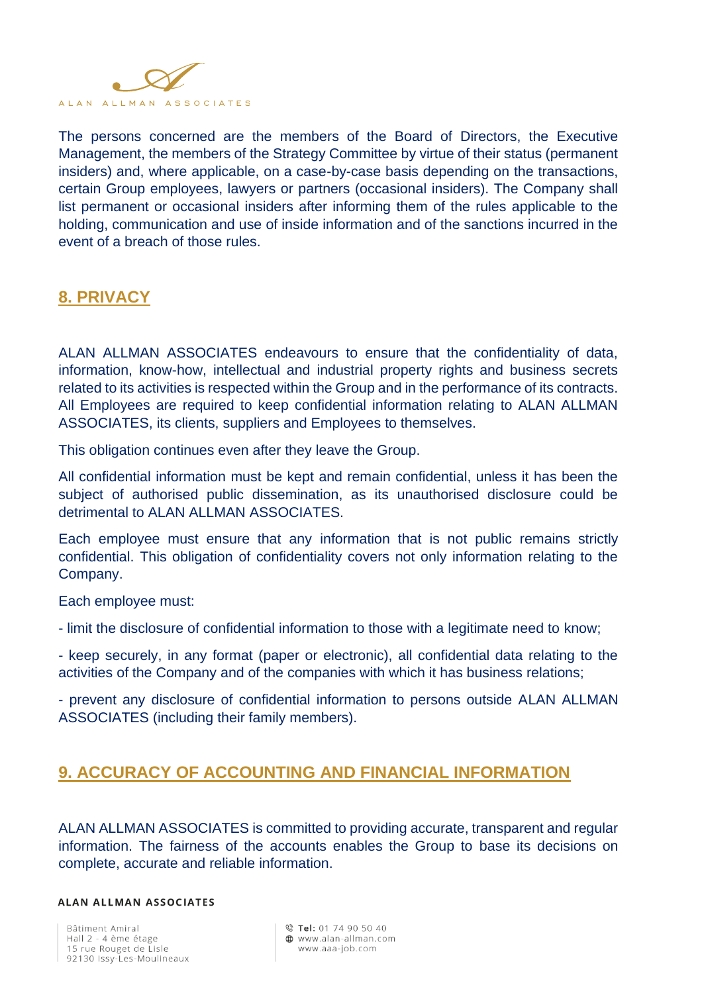

The persons concerned are the members of the Board of Directors, the Executive Management, the members of the Strategy Committee by virtue of their status (permanent insiders) and, where applicable, on a case-by-case basis depending on the transactions, certain Group employees, lawyers or partners (occasional insiders). The Company shall list permanent or occasional insiders after informing them of the rules applicable to the holding, communication and use of inside information and of the sanctions incurred in the event of a breach of those rules.

## **8. PRIVACY**

ALAN ALLMAN ASSOCIATES endeavours to ensure that the confidentiality of data, information, know-how, intellectual and industrial property rights and business secrets related to its activities is respected within the Group and in the performance of its contracts. All Employees are required to keep confidential information relating to ALAN ALLMAN ASSOCIATES, its clients, suppliers and Employees to themselves.

This obligation continues even after they leave the Group.

All confidential information must be kept and remain confidential, unless it has been the subject of authorised public dissemination, as its unauthorised disclosure could be detrimental to ALAN ALLMAN ASSOCIATES.

Each employee must ensure that any information that is not public remains strictly confidential. This obligation of confidentiality covers not only information relating to the Company.

Each employee must:

- limit the disclosure of confidential information to those with a legitimate need to know;

- keep securely, in any format (paper or electronic), all confidential data relating to the activities of the Company and of the companies with which it has business relations;

- prevent any disclosure of confidential information to persons outside ALAN ALLMAN ASSOCIATES (including their family members).

## **9. ACCURACY OF ACCOUNTING AND FINANCIAL INFORMATION**

ALAN ALLMAN ASSOCIATES is committed to providing accurate, transparent and regular information. The fairness of the accounts enables the Group to base its decisions on complete, accurate and reliable information.

#### **ALAN ALLMAN ASSOCIATES**

Bâtiment Amiral Hall 2 - 4 ème étage 15 rue Rouget de Lisle 92130 Issy-Les-Moulineaux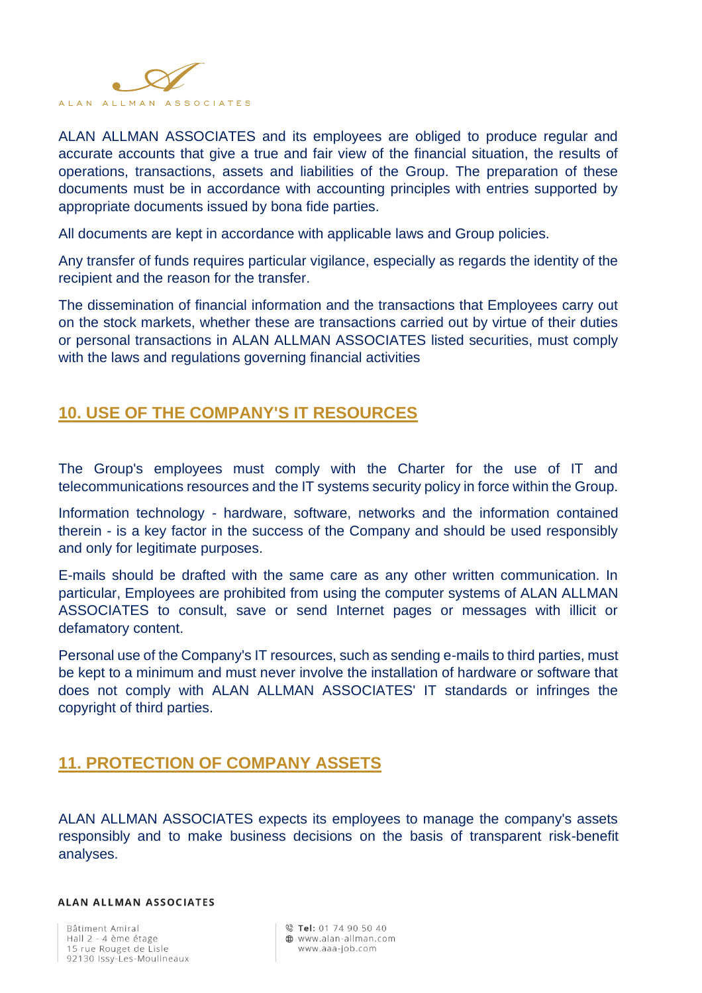

ALAN ALLMAN ASSOCIATES and its employees are obliged to produce regular and accurate accounts that give a true and fair view of the financial situation, the results of operations, transactions, assets and liabilities of the Group. The preparation of these documents must be in accordance with accounting principles with entries supported by appropriate documents issued by bona fide parties.

All documents are kept in accordance with applicable laws and Group policies.

Any transfer of funds requires particular vigilance, especially as regards the identity of the recipient and the reason for the transfer.

The dissemination of financial information and the transactions that Employees carry out on the stock markets, whether these are transactions carried out by virtue of their duties or personal transactions in ALAN ALLMAN ASSOCIATES listed securities, must comply with the laws and regulations governing financial activities

## **10. USE OF THE COMPANY'S IT RESOURCES**

The Group's employees must comply with the Charter for the use of IT and telecommunications resources and the IT systems security policy in force within the Group.

Information technology - hardware, software, networks and the information contained therein - is a key factor in the success of the Company and should be used responsibly and only for legitimate purposes.

E-mails should be drafted with the same care as any other written communication. In particular, Employees are prohibited from using the computer systems of ALAN ALLMAN ASSOCIATES to consult, save or send Internet pages or messages with illicit or defamatory content.

Personal use of the Company's IT resources, such as sending e-mails to third parties, must be kept to a minimum and must never involve the installation of hardware or software that does not comply with ALAN ALLMAN ASSOCIATES' IT standards or infringes the copyright of third parties.

## **11. PROTECTION OF COMPANY ASSETS**

ALAN ALLMAN ASSOCIATES expects its employees to manage the company's assets responsibly and to make business decisions on the basis of transparent risk-benefit analyses.

#### **ALAN ALLMAN ASSOCIATES**

Bâtiment Amiral Hall 2 - 4 ème étage 15 rue Rouget de Lisle 92130 Issy-Les-Moulineaux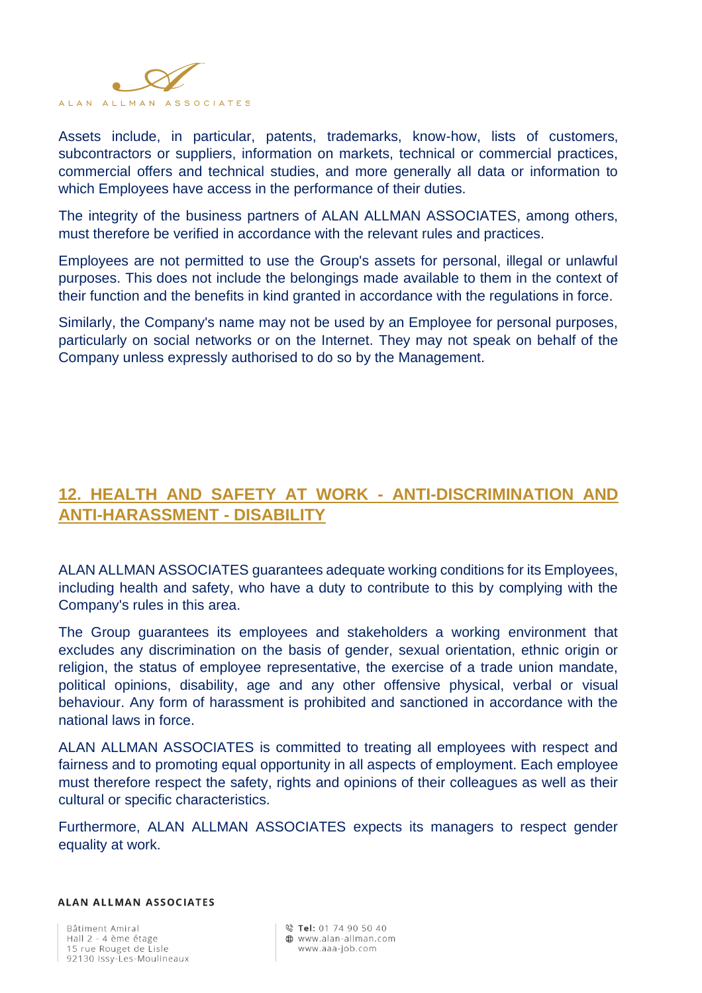

Assets include, in particular, patents, trademarks, know-how, lists of customers, subcontractors or suppliers, information on markets, technical or commercial practices, commercial offers and technical studies, and more generally all data or information to which Employees have access in the performance of their duties.

The integrity of the business partners of ALAN ALLMAN ASSOCIATES, among others, must therefore be verified in accordance with the relevant rules and practices.

Employees are not permitted to use the Group's assets for personal, illegal or unlawful purposes. This does not include the belongings made available to them in the context of their function and the benefits in kind granted in accordance with the regulations in force.

Similarly, the Company's name may not be used by an Employee for personal purposes, particularly on social networks or on the Internet. They may not speak on behalf of the Company unless expressly authorised to do so by the Management.

# **12. HEALTH AND SAFETY AT WORK - ANTI-DISCRIMINATION AND ANTI-HARASSMENT - DISABILITY**

ALAN ALLMAN ASSOCIATES guarantees adequate working conditions for its Employees, including health and safety, who have a duty to contribute to this by complying with the Company's rules in this area.

The Group guarantees its employees and stakeholders a working environment that excludes any discrimination on the basis of gender, sexual orientation, ethnic origin or religion, the status of employee representative, the exercise of a trade union mandate, political opinions, disability, age and any other offensive physical, verbal or visual behaviour. Any form of harassment is prohibited and sanctioned in accordance with the national laws in force.

ALAN ALLMAN ASSOCIATES is committed to treating all employees with respect and fairness and to promoting equal opportunity in all aspects of employment. Each employee must therefore respect the safety, rights and opinions of their colleagues as well as their cultural or specific characteristics.

Furthermore, ALAN ALLMAN ASSOCIATES expects its managers to respect gender equality at work.

#### **ALAN ALLMAN ASSOCIATES**

Bâtiment Amiral Hall 2 - 4 ème étage 15 rue Rouget de Lisle 92130 Issy-Les-Moulineaux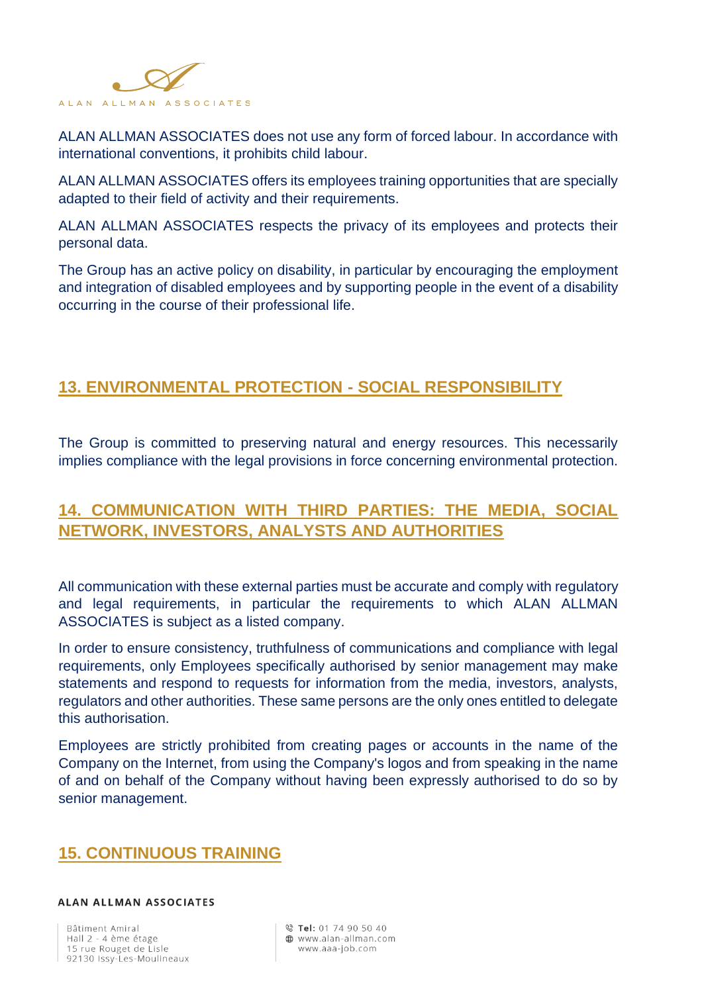

ALAN ALLMAN ASSOCIATES does not use any form of forced labour. In accordance with international conventions, it prohibits child labour.

ALAN ALLMAN ASSOCIATES offers its employees training opportunities that are specially adapted to their field of activity and their requirements.

ALAN ALLMAN ASSOCIATES respects the privacy of its employees and protects their personal data.

The Group has an active policy on disability, in particular by encouraging the employment and integration of disabled employees and by supporting people in the event of a disability occurring in the course of their professional life.

## **13. ENVIRONMENTAL PROTECTION - SOCIAL RESPONSIBILITY**

The Group is committed to preserving natural and energy resources. This necessarily implies compliance with the legal provisions in force concerning environmental protection.

# **14. COMMUNICATION WITH THIRD PARTIES: THE MEDIA, SOCIAL NETWORK, INVESTORS, ANALYSTS AND AUTHORITIES**

All communication with these external parties must be accurate and comply with regulatory and legal requirements, in particular the requirements to which ALAN ALLMAN ASSOCIATES is subject as a listed company.

In order to ensure consistency, truthfulness of communications and compliance with legal requirements, only Employees specifically authorised by senior management may make statements and respond to requests for information from the media, investors, analysts, regulators and other authorities. These same persons are the only ones entitled to delegate this authorisation.

Employees are strictly prohibited from creating pages or accounts in the name of the Company on the Internet, from using the Company's logos and from speaking in the name of and on behalf of the Company without having been expressly authorised to do so by senior management.

## **15. CONTINUOUS TRAINING**

#### **ALAN ALLMAN ASSOCIATES**

Bâtiment Amiral Hall 2 - 4 ème étage 15 rue Rouget de Lisle 92130 Issy-Les-Moulineaux

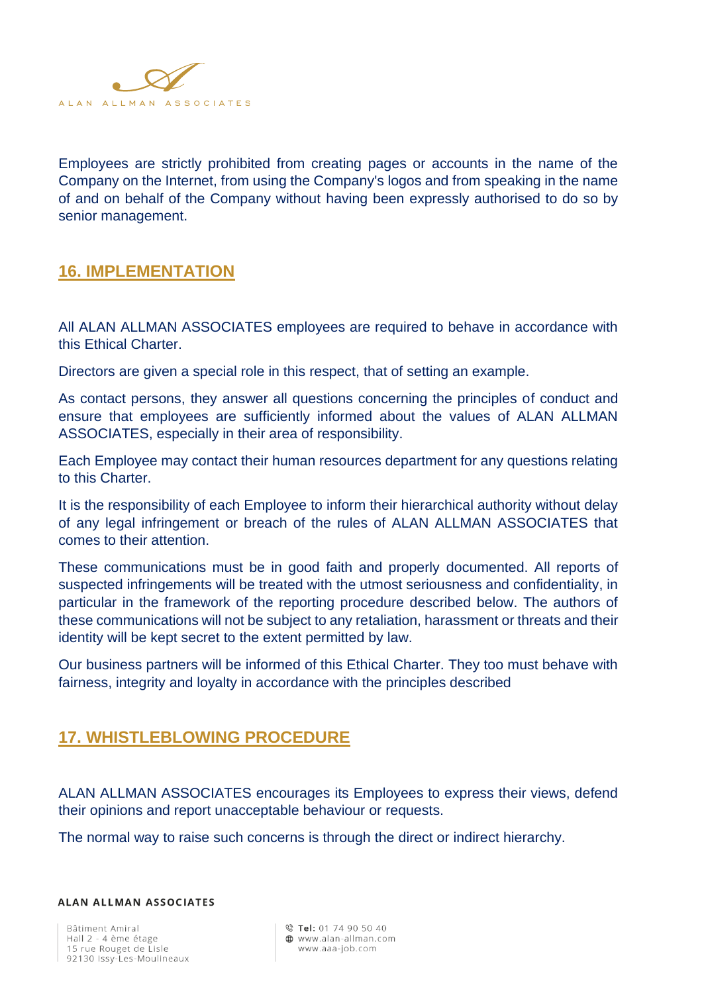

Employees are strictly prohibited from creating pages or accounts in the name of the Company on the Internet, from using the Company's logos and from speaking in the name of and on behalf of the Company without having been expressly authorised to do so by senior management.

#### **16. IMPLEMENTATION**

All ALAN ALLMAN ASSOCIATES employees are required to behave in accordance with this Ethical Charter.

Directors are given a special role in this respect, that of setting an example.

As contact persons, they answer all questions concerning the principles of conduct and ensure that employees are sufficiently informed about the values of ALAN ALLMAN ASSOCIATES, especially in their area of responsibility.

Each Employee may contact their human resources department for any questions relating to this Charter.

It is the responsibility of each Employee to inform their hierarchical authority without delay of any legal infringement or breach of the rules of ALAN ALLMAN ASSOCIATES that comes to their attention.

These communications must be in good faith and properly documented. All reports of suspected infringements will be treated with the utmost seriousness and confidentiality, in particular in the framework of the reporting procedure described below. The authors of these communications will not be subject to any retaliation, harassment or threats and their identity will be kept secret to the extent permitted by law.

Our business partners will be informed of this Ethical Charter. They too must behave with fairness, integrity and loyalty in accordance with the principles described

## **17. WHISTLEBLOWING PROCEDURE**

ALAN ALLMAN ASSOCIATES encourages its Employees to express their views, defend their opinions and report unacceptable behaviour or requests.

The normal way to raise such concerns is through the direct or indirect hierarchy.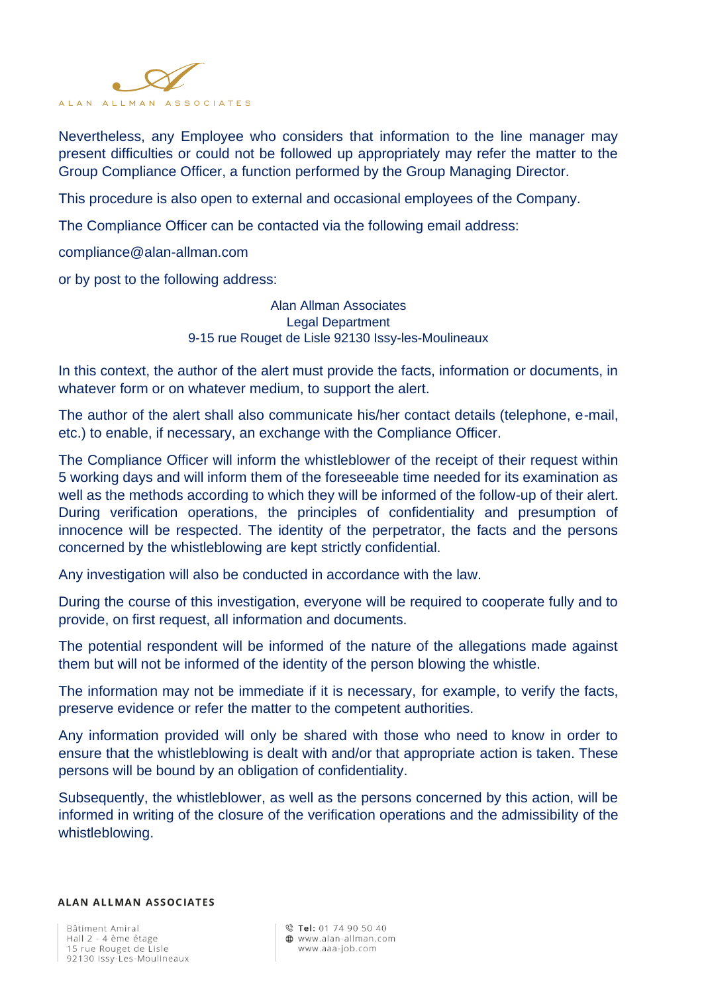

Nevertheless, any Employee who considers that information to the line manager may present difficulties or could not be followed up appropriately may refer the matter to the Group Compliance Officer, a function performed by the Group Managing Director.

This procedure is also open to external and occasional employees of the Company.

The Compliance Officer can be contacted via the following email address:

compliance@alan-allman.com

or by post to the following address:

Alan Allman Associates Legal Department 9-15 rue Rouget de Lisle 92130 Issy-les-Moulineaux

In this context, the author of the alert must provide the facts, information or documents, in whatever form or on whatever medium, to support the alert.

The author of the alert shall also communicate his/her contact details (telephone, e-mail, etc.) to enable, if necessary, an exchange with the Compliance Officer.

The Compliance Officer will inform the whistleblower of the receipt of their request within 5 working days and will inform them of the foreseeable time needed for its examination as well as the methods according to which they will be informed of the follow-up of their alert. During verification operations, the principles of confidentiality and presumption of innocence will be respected. The identity of the perpetrator, the facts and the persons concerned by the whistleblowing are kept strictly confidential.

Any investigation will also be conducted in accordance with the law.

During the course of this investigation, everyone will be required to cooperate fully and to provide, on first request, all information and documents.

The potential respondent will be informed of the nature of the allegations made against them but will not be informed of the identity of the person blowing the whistle.

The information may not be immediate if it is necessary, for example, to verify the facts, preserve evidence or refer the matter to the competent authorities.

Any information provided will only be shared with those who need to know in order to ensure that the whistleblowing is dealt with and/or that appropriate action is taken. These persons will be bound by an obligation of confidentiality.

Subsequently, the whistleblower, as well as the persons concerned by this action, will be informed in writing of the closure of the verification operations and the admissibility of the whistleblowing.